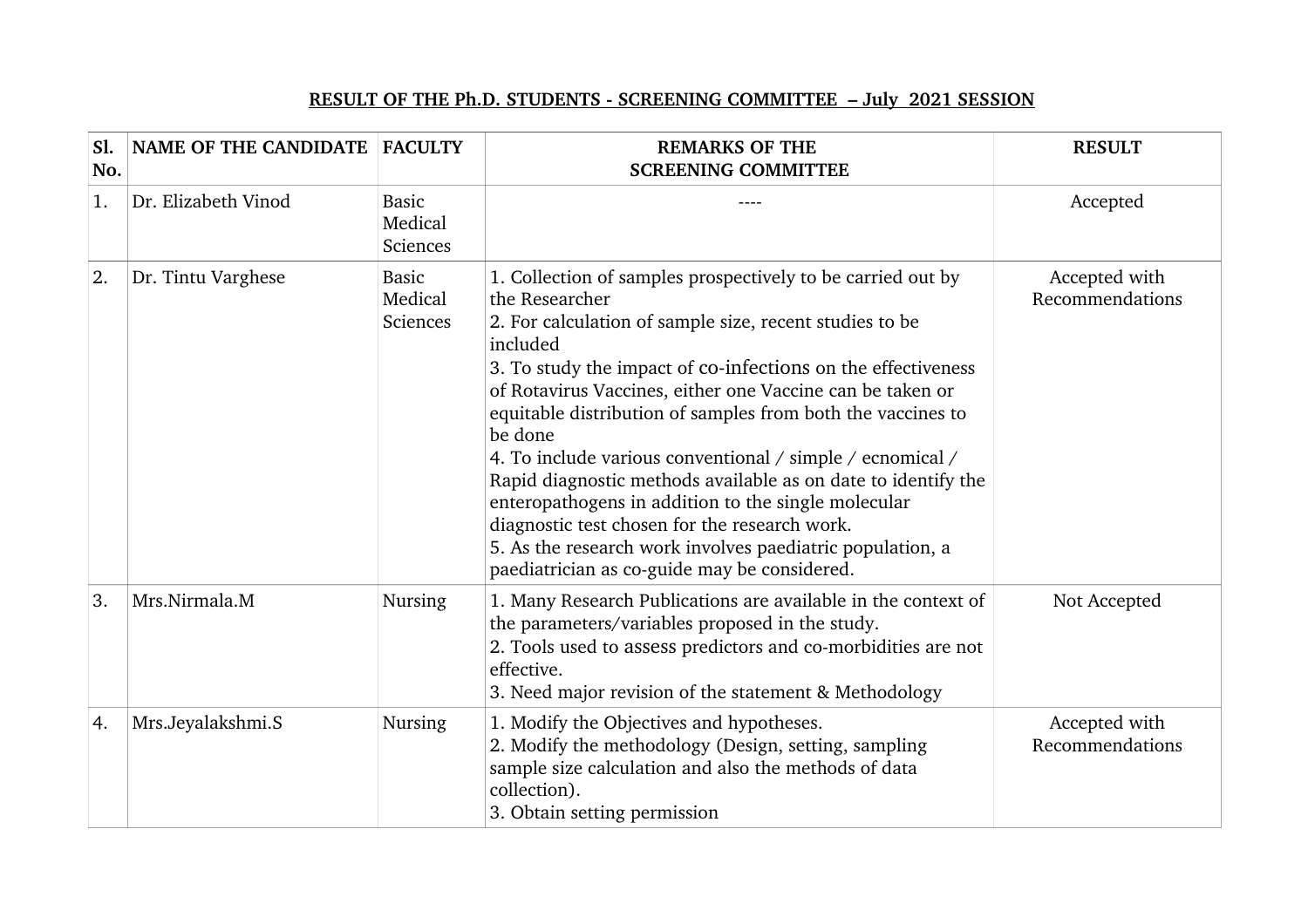## **RESULT OF THE Ph.D. STUDENTS - SCREENING COMMITTEE - July 2021 SESSION**

| S1.<br>No. | NAME OF THE CANDIDATE FACULTY |                                     | <b>REMARKS OF THE</b><br><b>SCREENING COMMITTEE</b>                                                                                                                                                                                                                                                                                                                                                                                                                                                                                                                                                                                                                                                            | <b>RESULT</b>                    |
|------------|-------------------------------|-------------------------------------|----------------------------------------------------------------------------------------------------------------------------------------------------------------------------------------------------------------------------------------------------------------------------------------------------------------------------------------------------------------------------------------------------------------------------------------------------------------------------------------------------------------------------------------------------------------------------------------------------------------------------------------------------------------------------------------------------------------|----------------------------------|
| 1.         | Dr. Elizabeth Vinod           | <b>Basic</b><br>Medical<br>Sciences |                                                                                                                                                                                                                                                                                                                                                                                                                                                                                                                                                                                                                                                                                                                | Accepted                         |
| 2.         | Dr. Tintu Varghese            | <b>Basic</b><br>Medical<br>Sciences | 1. Collection of samples prospectively to be carried out by<br>the Researcher<br>2. For calculation of sample size, recent studies to be<br>included<br>3. To study the impact of co-infections on the effectiveness<br>of Rotavirus Vaccines, either one Vaccine can be taken or<br>equitable distribution of samples from both the vaccines to<br>be done<br>4. To include various conventional / simple / ecnomical /<br>Rapid diagnostic methods available as on date to identify the<br>enteropathogens in addition to the single molecular<br>diagnostic test chosen for the research work.<br>5. As the research work involves paediatric population, a<br>paediatrician as co-guide may be considered. | Accepted with<br>Recommendations |
| 3.         | Mrs.Nirmala.M                 | <b>Nursing</b>                      | 1. Many Research Publications are available in the context of<br>the parameters/variables proposed in the study.<br>2. Tools used to assess predictors and co-morbidities are not<br>effective.<br>3. Need major revision of the statement & Methodology                                                                                                                                                                                                                                                                                                                                                                                                                                                       | Not Accepted                     |
| 4.         | Mrs.Jeyalakshmi.S             | <b>Nursing</b>                      | 1. Modify the Objectives and hypotheses.<br>2. Modify the methodology (Design, setting, sampling<br>sample size calculation and also the methods of data<br>collection).<br>3. Obtain setting permission                                                                                                                                                                                                                                                                                                                                                                                                                                                                                                       | Accepted with<br>Recommendations |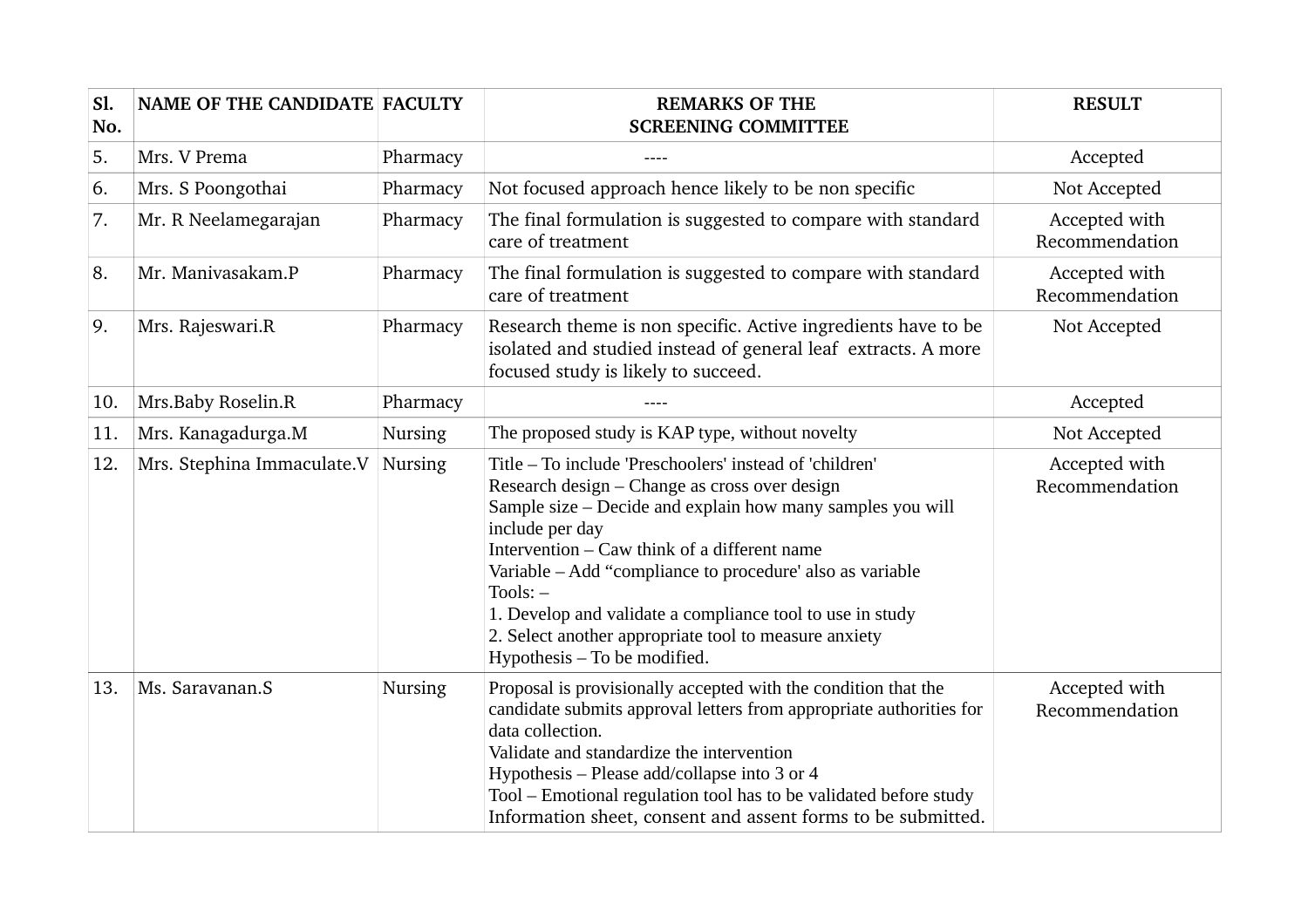| Sl.<br>No. | <b>NAME OF THE CANDIDATE FACULTY</b> |                | <b>REMARKS OF THE</b><br><b>SCREENING COMMITTEE</b>                                                                                                                                                                                                                                                                                                                                                                                                                        | <b>RESULT</b>                   |
|------------|--------------------------------------|----------------|----------------------------------------------------------------------------------------------------------------------------------------------------------------------------------------------------------------------------------------------------------------------------------------------------------------------------------------------------------------------------------------------------------------------------------------------------------------------------|---------------------------------|
| 5.         | Mrs. V Prema                         | Pharmacy       |                                                                                                                                                                                                                                                                                                                                                                                                                                                                            | Accepted                        |
| 6.         | Mrs. S Poongothai                    | Pharmacy       | Not focused approach hence likely to be non specific                                                                                                                                                                                                                                                                                                                                                                                                                       | Not Accepted                    |
| 7.         | Mr. R Neelamegarajan                 | Pharmacy       | The final formulation is suggested to compare with standard<br>care of treatment                                                                                                                                                                                                                                                                                                                                                                                           | Accepted with<br>Recommendation |
| 8.         | Mr. Manivasakam.P                    | Pharmacy       | The final formulation is suggested to compare with standard<br>care of treatment                                                                                                                                                                                                                                                                                                                                                                                           | Accepted with<br>Recommendation |
| 9.         | Mrs. Rajeswari.R                     | Pharmacy       | Research theme is non specific. Active ingredients have to be<br>isolated and studied instead of general leaf extracts. A more<br>focused study is likely to succeed.                                                                                                                                                                                                                                                                                                      | Not Accepted                    |
| 10.        | Mrs.Baby Roselin.R                   | Pharmacy       |                                                                                                                                                                                                                                                                                                                                                                                                                                                                            | Accepted                        |
| 11.        | Mrs. Kanagadurga.M                   | <b>Nursing</b> | The proposed study is KAP type, without novelty                                                                                                                                                                                                                                                                                                                                                                                                                            | Not Accepted                    |
| 12.        | Mrs. Stephina Immaculate.V           | <b>Nursing</b> | Title - To include 'Preschoolers' instead of 'children'<br>Research design - Change as cross over design<br>Sample size – Decide and explain how many samples you will<br>include per day<br>Intervention - Caw think of a different name<br>Variable - Add "compliance to procedure' also as variable<br>$Tools: -$<br>1. Develop and validate a compliance tool to use in study<br>2. Select another appropriate tool to measure anxiety<br>Hypothesis - To be modified. | Accepted with<br>Recommendation |
| 13.        | Ms. Saravanan.S                      | <b>Nursing</b> | Proposal is provisionally accepted with the condition that the<br>candidate submits approval letters from appropriate authorities for<br>data collection.<br>Validate and standardize the intervention<br>Hypothesis - Please add/collapse into 3 or 4<br>Tool - Emotional regulation tool has to be validated before study<br>Information sheet, consent and assent forms to be submitted.                                                                                | Accepted with<br>Recommendation |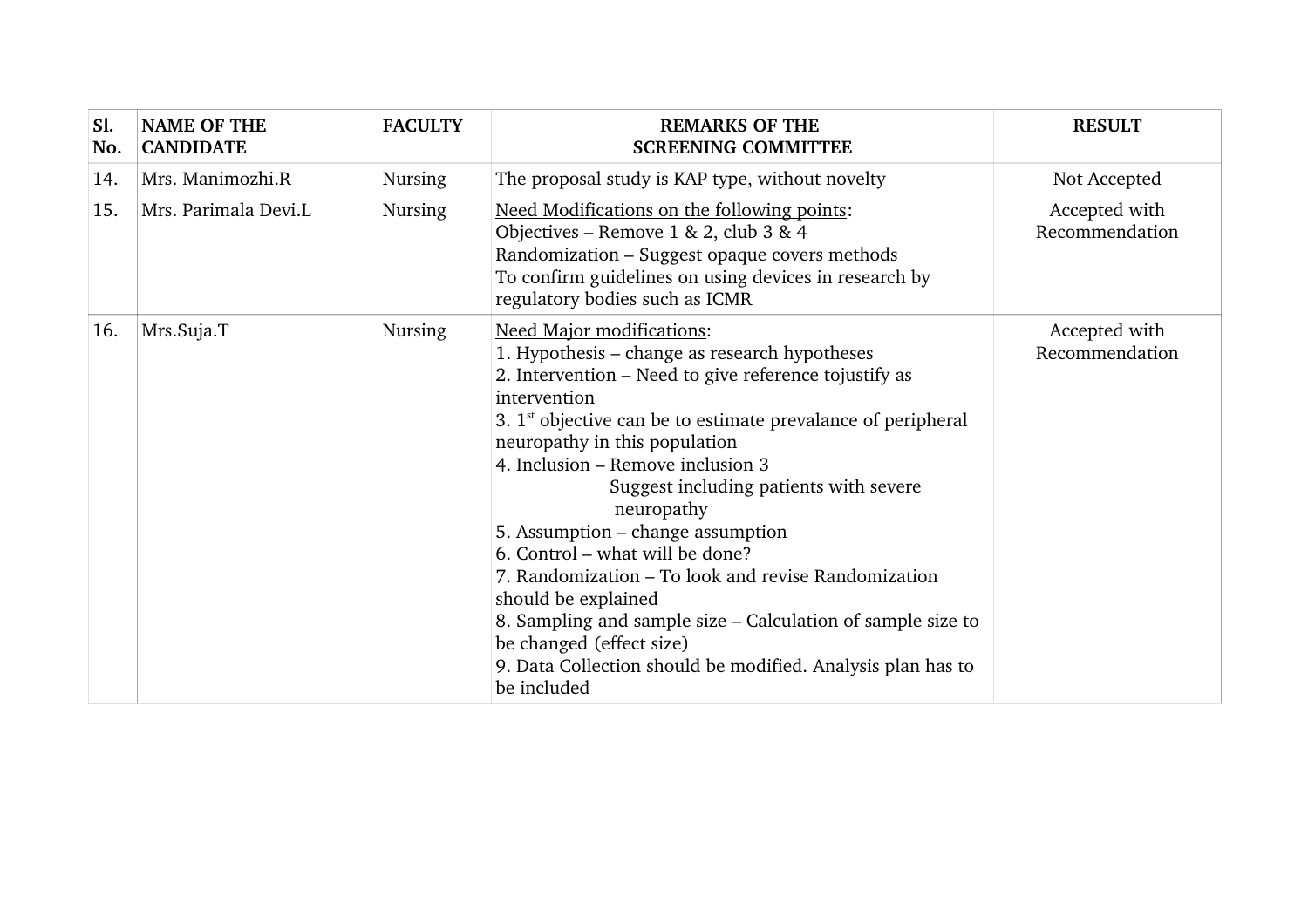| S1.<br>No. | <b>NAME OF THE</b><br><b>CANDIDATE</b> | <b>FACULTY</b> | <b>REMARKS OF THE</b><br><b>SCREENING COMMITTEE</b>                                                                                                                                                                                                                                                                                                                                                                                                                                                                                                                                                                                                                                       | <b>RESULT</b>                   |
|------------|----------------------------------------|----------------|-------------------------------------------------------------------------------------------------------------------------------------------------------------------------------------------------------------------------------------------------------------------------------------------------------------------------------------------------------------------------------------------------------------------------------------------------------------------------------------------------------------------------------------------------------------------------------------------------------------------------------------------------------------------------------------------|---------------------------------|
| 14.        | Mrs. Manimozhi.R                       | <b>Nursing</b> | The proposal study is KAP type, without novelty                                                                                                                                                                                                                                                                                                                                                                                                                                                                                                                                                                                                                                           | Not Accepted                    |
| 15.        | Mrs. Parimala Devi.L                   | Nursing        | Need Modifications on the following points:<br>Objectives – Remove $1 & 2$ , club $3 & 4$<br>Randomization - Suggest opaque covers methods<br>To confirm guidelines on using devices in research by<br>regulatory bodies such as ICMR                                                                                                                                                                                                                                                                                                                                                                                                                                                     | Accepted with<br>Recommendation |
| 16.        | Mrs.Suja.T                             | Nursing        | <b>Need Major modifications:</b><br>1. Hypothesis – change as research hypotheses<br>2. Intervention – Need to give reference tojustify as<br>intervention<br>3. $1st$ objective can be to estimate prevalance of peripheral<br>neuropathy in this population<br>4. Inclusion – Remove inclusion 3<br>Suggest including patients with severe<br>neuropathy<br>5. Assumption – change assumption<br>6. Control – what will be done?<br>7. Randomization – To look and revise Randomization<br>should be explained<br>8. Sampling and sample size – Calculation of sample size to<br>be changed (effect size)<br>9. Data Collection should be modified. Analysis plan has to<br>be included | Accepted with<br>Recommendation |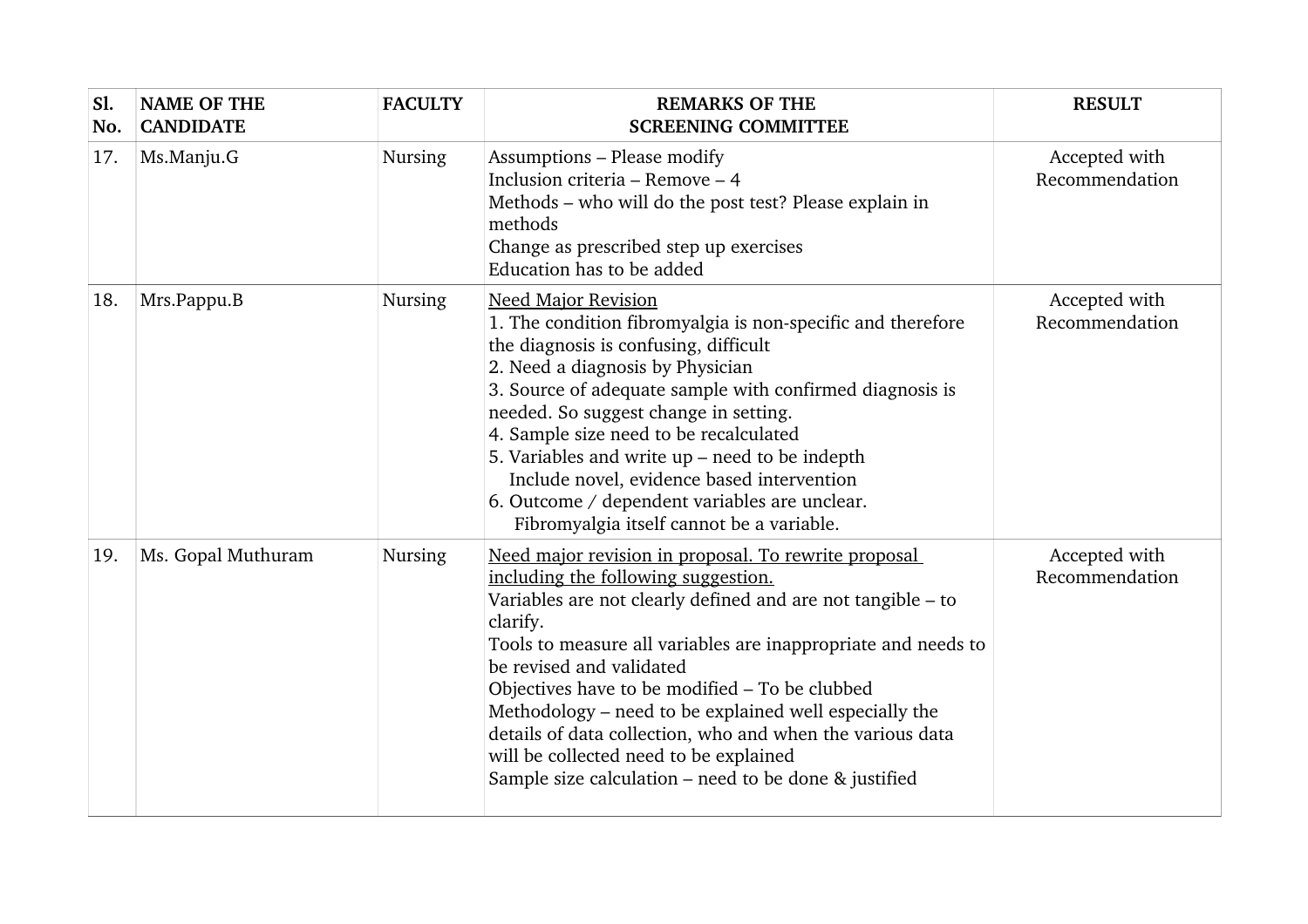| Sl.<br>No. | <b>NAME OF THE</b><br><b>CANDIDATE</b> | <b>FACULTY</b> | <b>REMARKS OF THE</b><br><b>SCREENING COMMITTEE</b>                                                                                                                                                                                                                                                                                                                                                                                                                                                                                                  | <b>RESULT</b>                   |
|------------|----------------------------------------|----------------|------------------------------------------------------------------------------------------------------------------------------------------------------------------------------------------------------------------------------------------------------------------------------------------------------------------------------------------------------------------------------------------------------------------------------------------------------------------------------------------------------------------------------------------------------|---------------------------------|
| 17.        | Ms.Manju.G                             | Nursing        | Assumptions - Please modify<br>Inclusion criteria – Remove – 4<br>Methods – who will do the post test? Please explain in<br>methods<br>Change as prescribed step up exercises<br>Education has to be added                                                                                                                                                                                                                                                                                                                                           | Accepted with<br>Recommendation |
| 18.        | Mrs.Pappu.B                            | Nursing        | <b>Need Major Revision</b><br>1. The condition fibromyalgia is non-specific and therefore<br>the diagnosis is confusing, difficult<br>2. Need a diagnosis by Physician<br>3. Source of adequate sample with confirmed diagnosis is<br>needed. So suggest change in setting.<br>4. Sample size need to be recalculated<br>5. Variables and write $up$ – need to be indepth<br>Include novel, evidence based intervention<br>6. Outcome / dependent variables are unclear.<br>Fibromyalgia itself cannot be a variable.                                | Accepted with<br>Recommendation |
| 19.        | Ms. Gopal Muthuram                     | <b>Nursing</b> | Need major revision in proposal. To rewrite proposal<br>including the following suggestion.<br>Variables are not clearly defined and are not tangible - to<br>clarify.<br>Tools to measure all variables are inappropriate and needs to<br>be revised and validated<br>Objectives have to be modified - To be clubbed<br>Methodology – need to be explained well especially the<br>details of data collection, who and when the various data<br>will be collected need to be explained<br>Sample size calculation $-$ need to be done $\&$ justified | Accepted with<br>Recommendation |